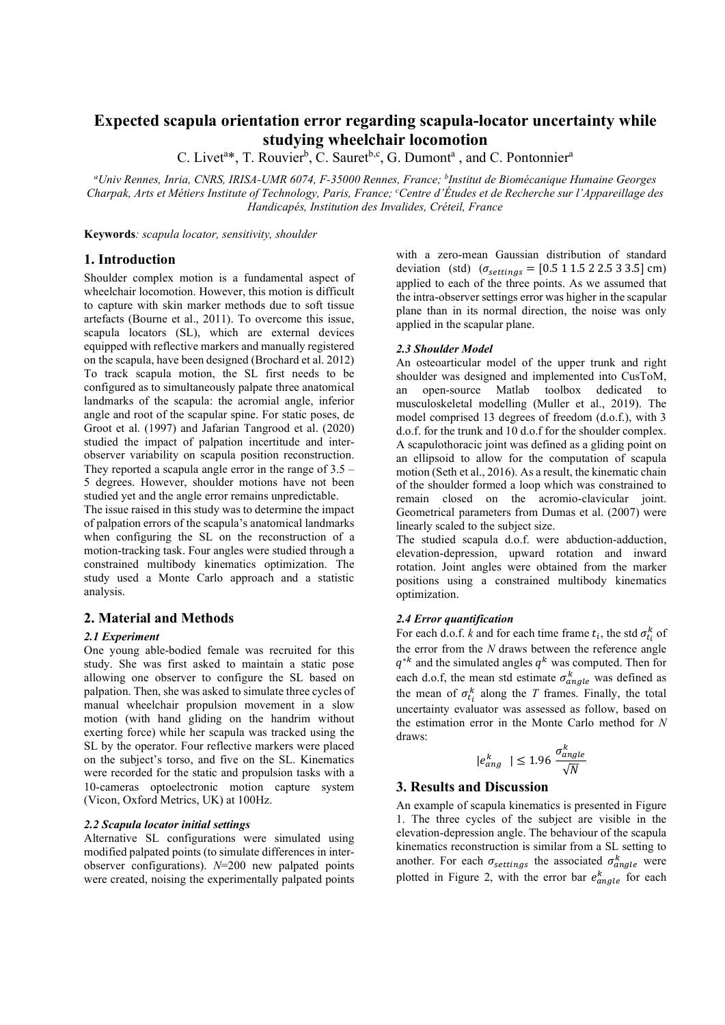# Expected scapula orientation error regarding scapula-locator uncertainty while studying wheelchair locomotion

C. Livet<sup>a\*</sup>, T. Rouvier<sup>b</sup>, C. Sauret<sup>b,c</sup>, G. Dumont<sup>a</sup>, and C. Pontonnier<sup>a</sup>

<sup>a</sup>Univ Rennes, Inria, CNRS, IRISA-UMR 6074, F-35000 Rennes, France; <sup>b</sup>Institut de Biomécanique Humaine Georges Charpak, Arts et Métiers Institute of Technology, Paris, France; <sup>c</sup>Centre d'Études et de Recherche sur l'Appareillage des Handicapés, Institution des Invalides, Créteil, France

Keywords: scapula locator, sensitivity, shoulder

## 1. Introduction

Shoulder complex motion is a fundamental aspect of wheelchair locomotion. However, this motion is difficult to capture with skin marker methods due to soft tissue artefacts (Bourne et al., 2011). To overcome this issue, scapula locators (SL), which are external devices equipped with reflective markers and manually registered on the scapula, have been designed (Brochard et al. 2012) To track scapula motion, the SL first needs to be configured as to simultaneously palpate three anatomical landmarks of the scapula: the acromial angle, inferior angle and root of the scapular spine. For static poses, de Groot et al. (1997) and Jafarian Tangrood et al. (2020) studied the impact of palpation incertitude and interobserver variability on scapula position reconstruction. They reported a scapula angle error in the range of 3.5 – 5 degrees. However, shoulder motions have not been studied yet and the angle error remains unpredictable.

The issue raised in this study was to determine the impact of palpation errors of the scapula's anatomical landmarks when configuring the SL on the reconstruction of a motion-tracking task. Four angles were studied through a constrained multibody kinematics optimization. The study used a Monte Carlo approach and a statistic analysis.

## 2. Material and Methods

## 2.1 Experiment

One young able-bodied female was recruited for this study. She was first asked to maintain a static pose allowing one observer to configure the SL based on palpation. Then, she was asked to simulate three cycles of manual wheelchair propulsion movement in a slow motion (with hand gliding on the handrim without exerting force) while her scapula was tracked using the SL by the operator. Four reflective markers were placed on the subject's torso, and five on the SL. Kinematics were recorded for the static and propulsion tasks with a 10-cameras optoelectronic motion capture system (Vicon, Oxford Metrics, UK) at 100Hz.

#### 2.2 Scapula locator initial settings

Alternative SL configurations were simulated using modified palpated points (to simulate differences in interobserver configurations).  $N=200$  new palpated points were created, noising the experimentally palpated points with a zero-mean Gaussian distribution of standard deviation (std)  $(\sigma_{\text{settings}} = [0.5 \ 1 \ 1.5 \ 2 \ 2.5 \ 3 \ 3.5] \text{ cm})$ applied to each of the three points. As we assumed that the intra-observer settings error was higher in the scapular plane than in its normal direction, the noise was only applied in the scapular plane.

#### 2.3 Shoulder Model

An osteoarticular model of the upper trunk and right shoulder was designed and implemented into CusToM, an open-source Matlab toolbox dedicated to musculoskeletal modelling (Muller et al., 2019). The model comprised 13 degrees of freedom (d.o.f.), with 3 d.o.f. for the trunk and 10 d.o.f for the shoulder complex. A scapulothoracic joint was defined as a gliding point on an ellipsoid to allow for the computation of scapula motion (Seth et al., 2016). As a result, the kinematic chain of the shoulder formed a loop which was constrained to remain closed on the acromio-clavicular joint. Geometrical parameters from Dumas et al. (2007) were linearly scaled to the subject size.

The studied scapula d.o.f. were abduction-adduction, elevation-depression, upward rotation and inward rotation. Joint angles were obtained from the marker positions using a constrained multibody kinematics optimization.

## 2.4 Error quantification

For each d.o.f. *k* and for each time frame  $t_i$ , the std  $\sigma_{t_i}^k$  of the error from the  $N$  draws between the reference angle  $q^{*k}$  and the simulated angles  $q^k$  was computed. Then for each d.o.f, the mean std estimate  $\sigma_{angle}^{k}$  was defined as the mean of  $\sigma_{t_i}^k$  along the T frames. Finally, the total uncertainty evaluator was assessed as follow, based on the estimation error in the Monte Carlo method for N draws:

$$
|e_{ang}^k| \le 1.96 \frac{\sigma_{angle}^k}{\sqrt{N}}
$$

## 3. Results and Discussion

An example of scapula kinematics is presented in Figure 1. The three cycles of the subject are visible in the elevation-depression angle. The behaviour of the scapula kinematics reconstruction is similar from a SL setting to another. For each  $\sigma_{\text{settings}}$  the associated  $\sigma_{angle}^k$  were plotted in Figure 2, with the error bar  $e_{angle}^{k}$  for each